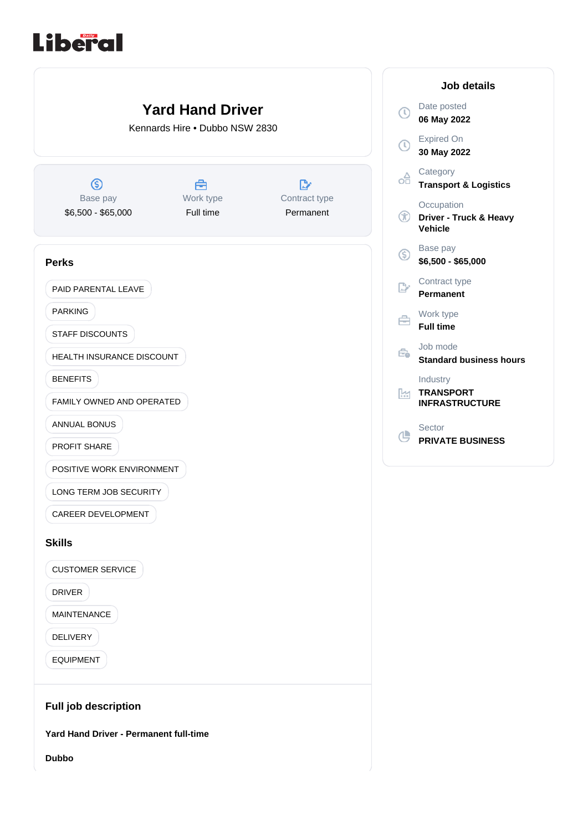# **Liberal**



**Dubbo**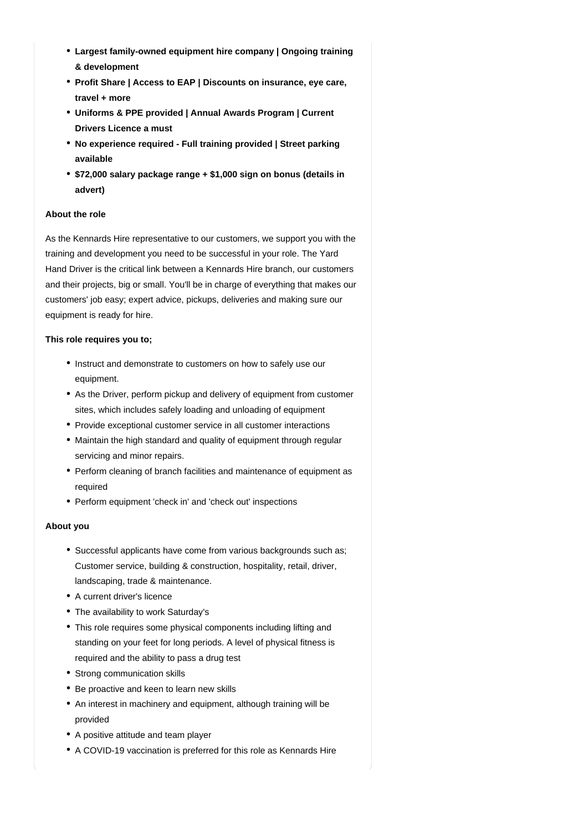- **Largest family-owned equipment hire company | Ongoing training & development**
- **Profit Share | Access to EAP | Discounts on insurance, eye care, travel + more**
- **Uniforms & PPE provided | Annual Awards Program | Current Drivers Licence a must**
- **No experience required Full training provided | Street parking available**
- **\$72,000 salary package range + \$1,000 sign on bonus (details in advert)**

## **About the role**

As the Kennards Hire representative to our customers, we support you with the training and development you need to be successful in your role. The Yard Hand Driver is the critical link between a Kennards Hire branch, our customers and their projects, big or small. You'll be in charge of everything that makes our customers' job easy; expert advice, pickups, deliveries and making sure our equipment is ready for hire.

#### **This role requires you to;**

- Instruct and demonstrate to customers on how to safely use our equipment.
- As the Driver, perform pickup and delivery of equipment from customer sites, which includes safely loading and unloading of equipment
- Provide exceptional customer service in all customer interactions
- Maintain the high standard and quality of equipment through regular servicing and minor repairs.
- Perform cleaning of branch facilities and maintenance of equipment as required
- Perform equipment 'check in' and 'check out' inspections

#### **About you**

- Successful applicants have come from various backgrounds such as; Customer service, building & construction, hospitality, retail, driver, landscaping, trade & maintenance.
- A current driver's licence
- The availability to work Saturday's
- This role requires some physical components including lifting and standing on your feet for long periods. A level of physical fitness is required and the ability to pass a drug test
- Strong communication skills
- Be proactive and keen to learn new skills
- An interest in machinery and equipment, although training will be provided
- A positive attitude and team player
- A COVID-19 vaccination is preferred for this role as Kennards Hire